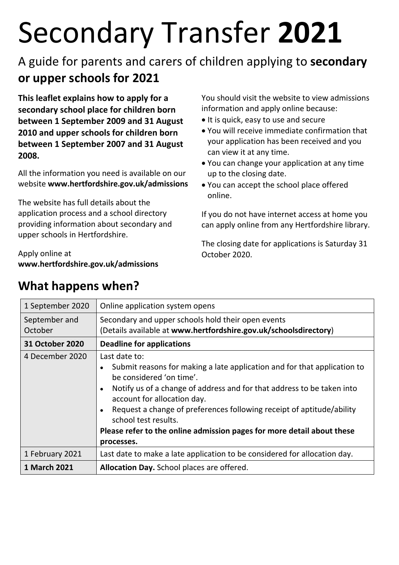# Secondary Transfer **2021**

# A guide for parents and carers of children applying to **secondary or upper schools for 2021**

**This leaflet explains how to apply for a secondary school place for children born between 1 September 2009 and 31 August 2010 and upper schools for children born between 1 September 2007 and 31 August 2008.** 

All the information you need is available on our website **www.hertfordshire.gov.uk/admissions**

The website has full details about the application process and a school directory providing information about secondary and upper schools in Hertfordshire.

Apply online at **www.hertfordshire.gov.uk/admissions**

1 September 2020  $\vert$  Online application system opens September and October Secondary and upper schools hold their open events (Details available at **www.hertfordshire.gov.uk/schoolsdirectory**) **31 October 2020 Deadline for applications**  4 December 2020 Last date to: • Submit reasons for making a late application and for that application to be considered 'on time'. • Notify us of a change of address and for that address to be taken into account for allocation day. • Request a change of preferences following receipt of aptitude/ability school test results. **Please refer to the online admission pages for more detail about these processes.** 1 February 2021 Last date to make a late application to be considered for allocation day. **1 March 2021 Allocation Day.** School places are offered.

# **What happens when?**

You should visit the website to view admissions information and apply online because:

- It is quick, easy to use and secure
- You will receive immediate confirmation that your application has been received and you can view it at any time.
- You can change your application at any time up to the closing date.
- You can accept the school place offered online.

If you do not have internet access at home you can apply online from any Hertfordshire library.

The closing date for applications is Saturday 31 October 2020.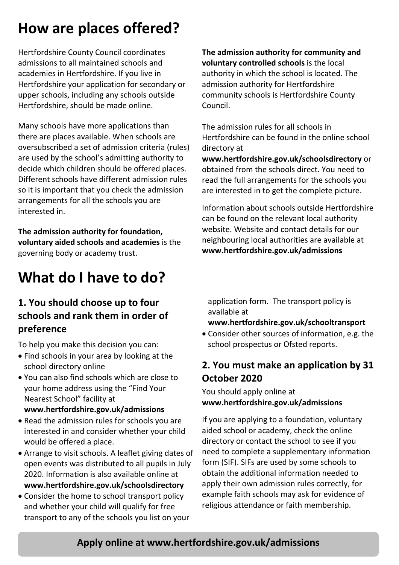# **How are places offered?**

Hertfordshire County Council coordinates admissions to all maintained schools and academies in Hertfordshire. If you live in Hertfordshire your application for secondary or upper schools, including any schools outside Hertfordshire, should be made online.

Many schools have more applications than there are places available. When schools are oversubscribed a set of admission criteria (rules) are used by the school's admitting authority to decide which children should be offered places. Different schools have different admission rules so it is important that you check the admission arrangements for all the schools you are interested in.

**The admission authority for foundation, voluntary aided schools and academies** is the governing body or academy trust.

# **What do I have to do?**

## **1. You should choose up to four schools and rank them in order of preference**

To help you make this decision you can:

- Find schools in your area by looking at the school directory online
- You can also find schools which are close to your home address using the "Find Your Nearest School" facility at

#### **www.hertfordshire.gov.uk/admissions**

- Read the admission rules for schools you are interested in and consider whether your child would be offered a place.
- Arrange to visit schools. A leaflet giving dates of open events was distributed to all pupils in July 2020. Information is also available online at **www.hertfordshire.gov.uk/schoolsdirectory**
- Consider the home to school transport policy and whether your child will qualify for free transport to any of the schools you list on your

**The admission authority for community and voluntary controlled schools** is the local authority in which the school is located. The admission authority for Hertfordshire community schools is Hertfordshire County Council.

The admission rules for all schools in Hertfordshire can be found in the online school directory at

**www.hertfordshire.gov.uk/schoolsdirectory** or obtained from the schools direct. You need to read the full arrangements for the schools you are interested in to get the complete picture.

Information about schools outside Hertfordshire can be found on the relevant local authority website. Website and contact details for our neighbouring local authorities are available at **www.hertfordshire.gov.uk/admissions**

application form. The transport policy is available at

### **www.hertfordshire.gov.uk/schooltransport**

• Consider other sources of information, e.g. the school prospectus or Ofsted reports.

## **2. You must make an application by 31 October 2020**

You should apply online at **www.hertfordshire.gov.uk/admissions**

If you are applying to a foundation, voluntary aided school or academy, check the online directory or contact the school to see if you need to complete a supplementary information form (SIF). SIFs are used by some schools to obtain the additional information needed to apply their own admission rules correctly, for example faith schools may ask for evidence of religious attendance or faith membership.

# **Apply online at www.hertfordshire.gov.uk/admissions**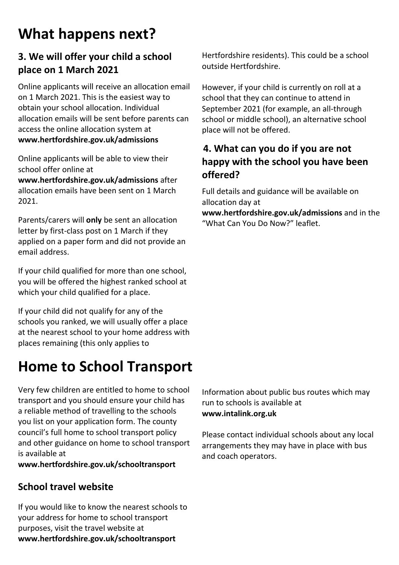# **What happens next?**

# **3. We will offer your child a school place on 1 March 2021**

Online applicants will receive an allocation email on 1 March 2021. This is the easiest way to obtain your school allocation. Individual allocation emails will be sent before parents can access the online allocation system at **www.hertfordshire.gov.uk/admissions**

Online applicants will be able to view their school offer online at **www.hertfordshire.gov.uk/admissions** after allocation emails have been sent on 1 March 2021.

Parents/carers will **only** be sent an allocation letter by first-class post on 1 March if they applied on a paper form and did not provide an email address.

If your child qualified for more than one school, you will be offered the highest ranked school at which your child qualified for a place.

If your child did not qualify for any of the schools you ranked, we will usually offer a place at the nearest school to your home address with places remaining (this only applies to

# **Home to School Transport**

Very few children are entitled to home to school transport and you should ensure your child has a reliable method of travelling to the schools you list on your application form. The county council's full home to school transport policy and other guidance on home to school transport is available at

**www.hertfordshire.gov.uk/schooltransport**

# **School travel website**

If you would like to know the nearest schools to your address for home to school transport purposes, visit the travel website at **www.hertfordshire.gov.uk/schooltransport**

Hertfordshire residents). This could be a school outside Hertfordshire.

However, if your child is currently on roll at a school that they can continue to attend in September 2021 (for example, an all-through school or middle school), an alternative school place will not be offered.

# **4. What can you do if you are not happy with the school you have been offered?**

Full details and guidance will be available on allocation day at **www.hertfordshire.gov.uk/admissions** and in the

"What Can You Do Now?" leaflet.

Information about public bus routes which may run to schools is available at **www.intalink.org.uk**

Please contact individual schools about any local arrangements they may have in place with bus and coach operators.